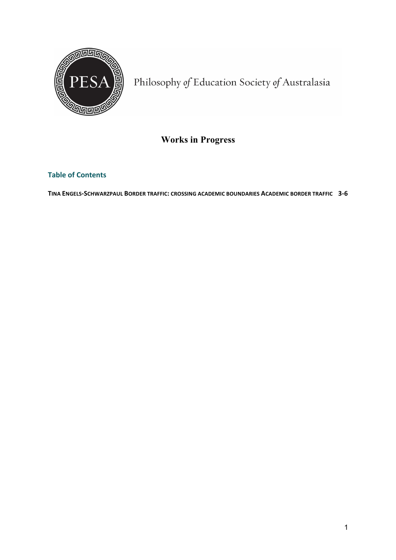

Philosophy of Education Society of Australasia

# **Works in Progress**

## **Table of Contents**

**TINA ENGELS-SCHWARZPAUL BORDER TRAFFIC: CROSSING ACADEMIC BOUNDARIES ACADEMIC BORDER TRAFFIC 3-6**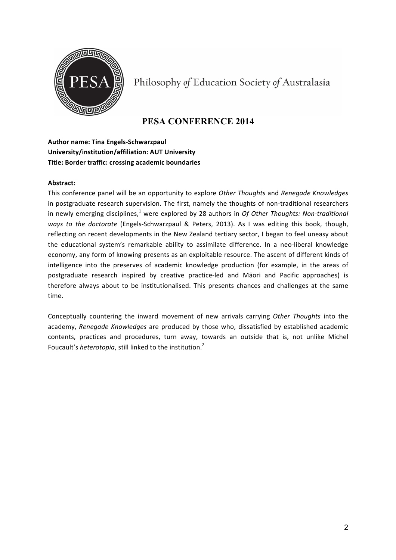

Philosophy of Education Society of Australasia

## **PESA CONFERENCE 2014**

## **Author name: Tina Engels-Schwarzpaul University/institution/affiliation: AUT University Title: Border traffic: crossing academic boundaries**

#### **Abstract:**

This conference panel will be an opportunity to explore Other Thoughts and Renegade Knowledges in postgraduate research supervision. The first, namely the thoughts of non-traditional researchers in newly emerging disciplines,<sup>1</sup> were explored by 28 authors in *Of Other Thoughts: Non-traditional ways* to the doctorate (Engels-Schwarzpaul & Peters, 2013). As I was editing this book, though, reflecting on recent developments in the New Zealand tertiary sector, I began to feel uneasy about the educational system's remarkable ability to assimilate difference. In a neo-liberal knowledge economy, any form of knowing presents as an exploitable resource. The ascent of different kinds of intelligence into the preserves of academic knowledge production (for example, in the areas of postgraduate research inspired by creative practice-led and Māori and Pacific approaches) is therefore always about to be institutionalised. This presents chances and challenges at the same time.

Conceptually countering the inward movement of new arrivals carrying Other Thoughts into the academy, Renegade Knowledges are produced by those who, dissatisfied by established academic contents, practices and procedures, turn away, towards an outside that is, not unlike Michel Foucault's *heterotopia*, still linked to the institution.<sup>2</sup>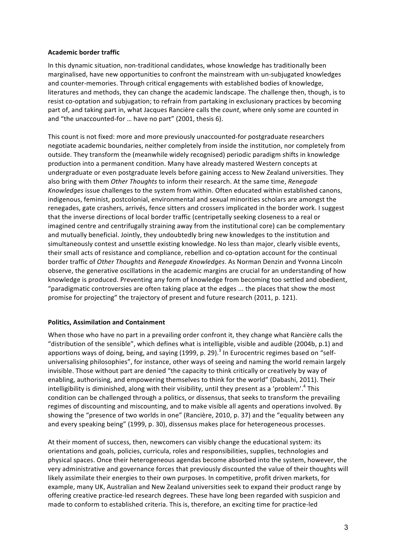#### **Academic border traffic**

In this dynamic situation, non-traditional candidates, whose knowledge has traditionally been marginalised, have new opportunities to confront the mainstream with un-subjugated knowledges and counter-memories. Through critical engagements with established bodies of knowledge, literatures and methods, they can change the academic landscape. The challenge then, though, is to resist co-optation and subjugation; to refrain from partaking in exclusionary practices by becoming part of, and taking part in, what Jacques Rancière calls the *count*, where only some are counted in and "the unaccounted-for ... have no part" (2001, thesis 6).

This count is not fixed: more and more previously unaccounted-for postgraduate researchers negotiate academic boundaries, neither completely from inside the institution, nor completely from outside. They transform the (meanwhile widely recognised) periodic paradigm shifts in knowledge production into a permanent condition. Many have already mastered Western concepts at undergraduate or even postgraduate levels before gaining access to New Zealand universities. They also bring with them Other Thoughts to inform their research. At the same time, *Renegade Knowledges* issue challenges to the system from within. Often educated within established canons, indigenous, feminist, postcolonial, environmental and sexual minorities scholars are amongst the renegades, gate crashers, arrivés, fence sitters and crossers implicated in the border work. I suggest that the inverse directions of local border traffic (centripetally seeking closeness to a real or imagined centre and centrifugally straining away from the institutional core) can be complementary and mutually beneficial. Jointly, they undoubtedly bring new knowledges to the institution and simultaneously contest and unsettle existing knowledge. No less than major, clearly visible events, their small acts of resistance and compliance, rebellion and co-optation account for the continual border traffic of *Other Thoughts* and *Renegade Knowledges*. As Norman Denzin and Yvonna Lincoln observe, the generative oscillations in the academic margins are crucial for an understanding of how knowledge is produced. Preventing any form of knowledge from becoming too settled and obedient, "paradigmatic controversies are often taking place at the edges ... the places that show the most promise for projecting" the trajectory of present and future research (2011, p. 121).

#### **Politics, Assimilation and Containment**

When those who have no part in a prevailing order confront it, they change what Rancière calls the "distribution of the sensible", which defines what is intelligible, visible and audible (2004b, p.1) and apportions ways of doing, being, and saying (1999, p. 29).<sup>3</sup> In Eurocentric regimes based on "selfuniversalising philosophies", for instance, other ways of seeing and naming the world remain largely invisible. Those without part are denied "the capacity to think critically or creatively by way of enabling, authorising, and empowering themselves to think for the world" (Dabashi, 2011). Their intelligibility is diminished, along with their visibility, until they present as a 'problem'.<sup>4</sup> This condition can be challenged through a politics, or dissensus, that seeks to transform the prevailing regimes of discounting and miscounting, and to make visible all agents and operations involved. By showing the "presence of two worlds in one" (Rancière, 2010, p. 37) and the "equality between any and every speaking being" (1999, p. 30), dissensus makes place for heterogeneous processes.

At their moment of success, then, newcomers can visibly change the educational system: its orientations and goals, policies, curricula, roles and responsibilities, supplies, technologies and physical spaces. Once their heterogeneous agendas become absorbed into the system, however, the very administrative and governance forces that previously discounted the value of their thoughts will likely assimilate their energies to their own purposes. In competitive, profit driven markets, for example, many UK, Australian and New Zealand universities seek to expand their product range by offering creative practice-led research degrees. These have long been regarded with suspicion and made to conform to established criteria. This is, therefore, an exciting time for practice-led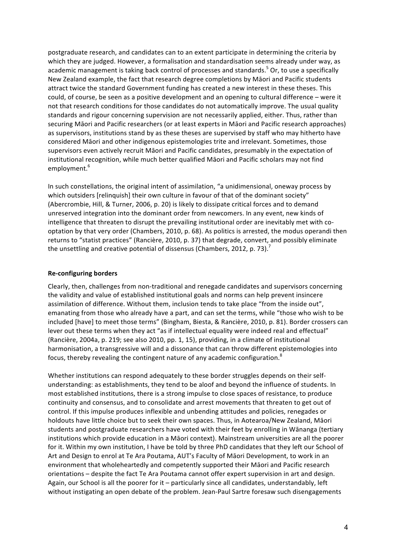postgraduate research, and candidates can to an extent participate in determining the criteria by which they are judged. However, a formalisation and standardisation seems already under way, as academic management is taking back control of processes and standards.<sup>5</sup> Or, to use a specifically New Zealand example, the fact that research degree completions by Māori and Pacific students attract twice the standard Government funding has created a new interest in these theses. This could, of course, be seen as a positive development and an opening to cultural difference – were it not that research conditions for those candidates do not automatically improve. The usual quality standards and rigour concerning supervision are not necessarily applied, either. Thus, rather than securing Māori and Pacific researchers (or at least experts in Māori and Pacific research approaches) as supervisors, institutions stand by as these theses are supervised by staff who may hitherto have considered Māori and other indigenous epistemologies trite and irrelevant. Sometimes, those supervisors even actively recruit Māori and Pacific candidates, presumably in the expectation of institutional recognition, while much better qualified Māori and Pacific scholars may not find employment.<sup>6</sup>

In such constellations, the original intent of assimilation, "a unidimensional, oneway process by which outsiders [relinquish] their own culture in favour of that of the dominant society" (Abercrombie, Hill, & Turner, 2006, p. 20) is likely to dissipate critical forces and to demand unreserved integration into the dominant order from newcomers. In any event, new kinds of intelligence that threaten to disrupt the prevailing institutional order are inevitably met with cooptation by that very order (Chambers, 2010, p. 68). As politics is arrested, the modus operandi then returns to "statist practices" (Rancière, 2010, p. 37) that degrade, convert, and possibly eliminate the unsettling and creative potential of dissensus (Chambers, 2012, p. 73).<sup>7</sup>

#### **Re-configuring borders**

Clearly, then, challenges from non-traditional and renegade candidates and supervisors concerning the validity and value of established institutional goals and norms can help prevent insincere assimilation of difference. Without them, inclusion tends to take place "from the inside out", emanating from those who already have a part, and can set the terms, while "those who wish to be included [have] to meet those terms" (Bingham, Biesta, & Rancière, 2010, p. 81). Border crossers can lever out these terms when they act "as if intellectual equality were indeed real and effectual" (Rancière, 2004a, p. 219; see also 2010, pp. 1, 15), providing, in a climate of institutional harmonisation, a transgressive will and a dissonance that can throw different epistemologies into focus, thereby revealing the contingent nature of any academic configuration.<sup>8</sup>

Whether institutions can respond adequately to these border struggles depends on their selfunderstanding: as establishments, they tend to be aloof and beyond the influence of students. In most established institutions, there is a strong impulse to close spaces of resistance, to produce continuity and consensus, and to consolidate and arrest movements that threaten to get out of control. If this impulse produces inflexible and unbending attitudes and policies, renegades or holdouts have little choice but to seek their own spaces. Thus, in Aotearoa/New Zealand, Māori students and postgraduate researchers have voted with their feet by enrolling in Wānanga (tertiary institutions which provide education in a Māori context). Mainstream universities are all the poorer for it. Within my own institution, I have be told by three PhD candidates that they left our School of Art and Design to enrol at Te Ara Poutama, AUT's Faculty of Māori Development, to work in an environment that wholeheartedly and competently supported their Maori and Pacific research orientations – despite the fact Te Ara Poutama cannot offer expert supervision in art and design. Again, our School is all the poorer for it – particularly since all candidates, understandably, left without instigating an open debate of the problem. Jean-Paul Sartre foresaw such disengagements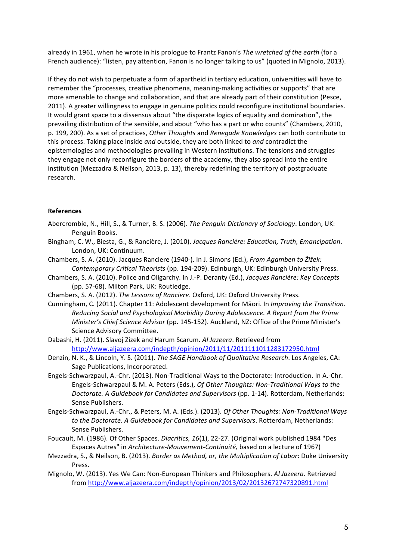already in 1961, when he wrote in his prologue to Frantz Fanon's The wretched of the earth (for a French audience): "listen, pay attention, Fanon is no longer talking to us" (quoted in Mignolo, 2013).

If they do not wish to perpetuate a form of apartheid in tertiary education, universities will have to remember the "processes, creative phenomena, meaning-making activities or supports" that are more amenable to change and collaboration, and that are already part of their constitution (Pesce, 2011). A greater willingness to engage in genuine politics could reconfigure institutional boundaries. It would grant space to a dissensus about "the disparate logics of equality and domination", the prevailing distribution of the sensible, and about "who has a part or who counts" (Chambers, 2010, p. 199, 200). As a set of practices, *Other Thoughts* and *Renegade Knowledges* can both contribute to this process. Taking place inside and outside, they are both linked to and contradict the epistemologies and methodologies prevailing in Western institutions. The tensions and struggles they engage not only reconfigure the borders of the academy, they also spread into the entire institution (Mezzadra & Neilson, 2013, p. 13), thereby redefining the territory of postgraduate research.

#### **References**

- Abercrombie, N., Hill, S., & Turner, B. S. (2006). *The Penguin Dictionary of Sociology*. London, UK: Penguin Books.
- Bingham, C. W., Biesta, G., & Rancière, J. (2010). *Jacques Rancière: Education, Truth, Emancipation*. London, UK: Continuum.
- Chambers, S. A. (2010). Jacques Ranciere (1940-). In J. Simons (Ed.), *From Agamben to Žižek:* Contemporary Critical Theorists (pp. 194-209). Edinburgh, UK: Edinburgh University Press.
- Chambers, S. A. (2010). Police and Oligarchy. In J.-P. Deranty (Ed.), *Jacques Rancière: Key Concepts* (pp. 57-68). Milton Park, UK: Routledge.
- Chambers, S. A. (2012). *The Lessons of Ranciere*. Oxford, UK: Oxford University Press.
- Cunningham, C. (2011). Chapter 11: Adolescent development for Māori. In *Improving the Transition. Reducing Social and Psychological Morbidity During Adolescence. A Report from the Prime Minister's Chief Science Advisor* (pp. 145-152). Auckland, NZ: Office of the Prime Minister's Science Advisory Committee.
- Dabashi, H. (2011). Slavoj Zizek and Harum Scarum. Al Jazeera. Retrieved from http://www.aljazeera.com/indepth/opinion/2011/11/2011111011283172950.html
- Denzin, N. K., & Lincoln, Y. S. (2011). The SAGE Handbook of Qualitative Research. Los Angeles, CA: Sage Publications, Incorporated.
- Engels-Schwarzpaul, A.-Chr. (2013). Non-Traditional Ways to the Doctorate: Introduction. In A.-Chr. Engels-Schwarzpaul & M. A. Peters (Eds.), *Of Other Thoughts: Non-Traditional Ways to the Doctorate. A Guidebook for Candidates and Supervisors* (pp. 1-14). Rotterdam, Netherlands: Sense Publishers.
- Engels-Schwarzpaul, A.-Chr., & Peters, M. A. (Eds.). (2013). *Of Other Thoughts: Non-Traditional Ways to the Doctorate. A Guidebook for Candidates and Supervisors. Rotterdam, Netherlands:* Sense Publishers.
- Foucault, M. (1986). Of Other Spaces. *Diacritics, 16*(1), 22-27. (Original work published 1984 "Des Espaces Autres" in *Architecture-Mouvement-Continuité*, based on a lecture of 1967)
- Mezzadra, S., & Neilson, B. (2013). *Border as Method, or, the Multiplication of Labor*: Duke University Press.
- Mignolo, W. (2013). Yes We Can: Non-European Thinkers and Philosophers. Al Jazeera. Retrieved from http://www.aljazeera.com/indepth/opinion/2013/02/20132672747320891.html